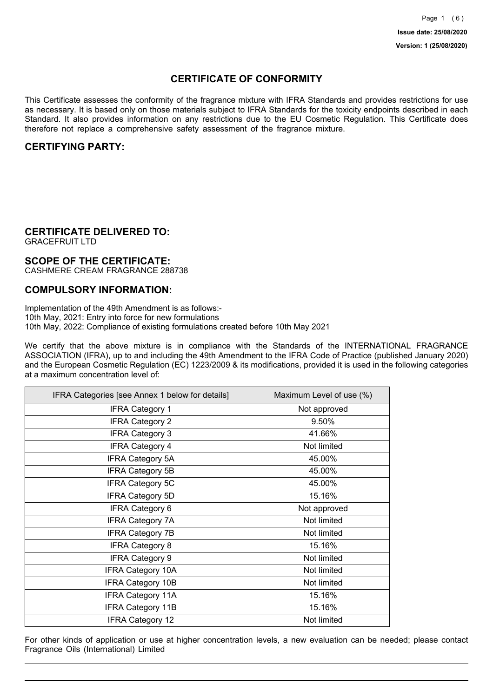## **CERTIFICATE OF CONFORMITY**

This Certificate assesses the conformity of the fragrance mixture with IFRA Standards and provides restrictions for use as necessary. It is based only on those materials subject to IFRA Standards for the toxicity endpoints described in each Standard. It also provides information on any restrictions due to the EU Cosmetic Regulation. This Certificate does therefore not replace a comprehensive safety assessment of the fragrance mixture.

## **CERTIFYING PARTY:**

## **CERTIFICATE DELIVERED TO:**

GRACEFRUIT LTD

### **SCOPE OF THE CERTIFICATE:**

CASHMERE CREAM FRAGRANCE 288738

### **COMPULSORY INFORMATION:**

Implementation of the 49th Amendment is as follows:- 10th May, 2021: Entry into force for new formulations 10th May, 2022: Compliance of existing formulations created before 10th May 2021

We certify that the above mixture is in compliance with the Standards of the INTERNATIONAL FRAGRANCE ASSOCIATION (IFRA), up to and including the 49th Amendment to the IFRA Code of Practice (published January 2020) and the European Cosmetic Regulation (EC) 1223/2009 & its modifications, provided it is used in the following categories at a maximum concentration level of:

| IFRA Categories [see Annex 1 below for details] | Maximum Level of use (%) |
|-------------------------------------------------|--------------------------|
| <b>IFRA Category 1</b>                          | Not approved             |
| <b>IFRA Category 2</b>                          | 9.50%                    |
| <b>IFRA Category 3</b>                          | 41.66%                   |
| <b>IFRA Category 4</b>                          | Not limited              |
| <b>IFRA Category 5A</b>                         | 45.00%                   |
| <b>IFRA Category 5B</b>                         | 45.00%                   |
| <b>IFRA Category 5C</b>                         | 45.00%                   |
| <b>IFRA Category 5D</b>                         | 15.16%                   |
| <b>IFRA Category 6</b>                          | Not approved             |
| <b>IFRA Category 7A</b>                         | Not limited              |
| <b>IFRA Category 7B</b>                         | Not limited              |
| <b>IFRA Category 8</b>                          | 15.16%                   |
| <b>IFRA Category 9</b>                          | Not limited              |
| <b>IFRA Category 10A</b>                        | Not limited              |
| <b>IFRA Category 10B</b>                        | Not limited              |
| <b>IFRA Category 11A</b>                        | 15.16%                   |
| <b>IFRA Category 11B</b>                        | 15.16%                   |
| <b>IFRA Category 12</b>                         | Not limited              |

For other kinds of application or use at higher concentration levels, a new evaluation can be needed; please contact Fragrance Oils (International) Limited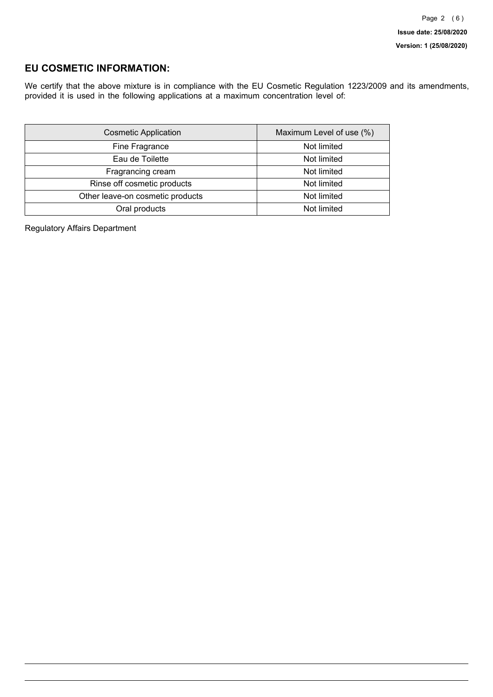## **EU COSMETIC INFORMATION:**

We certify that the above mixture is in compliance with the EU Cosmetic Regulation 1223/2009 and its amendments, provided it is used in the following applications at a maximum concentration level of:

| <b>Cosmetic Application</b>      | Maximum Level of use (%) |
|----------------------------------|--------------------------|
| Fine Fragrance                   | Not limited              |
| Eau de Toilette                  | Not limited              |
| Fragrancing cream                | Not limited              |
| Rinse off cosmetic products      | Not limited              |
| Other leave-on cosmetic products | Not limited              |
| Oral products                    | Not limited              |

Regulatory Affairs Department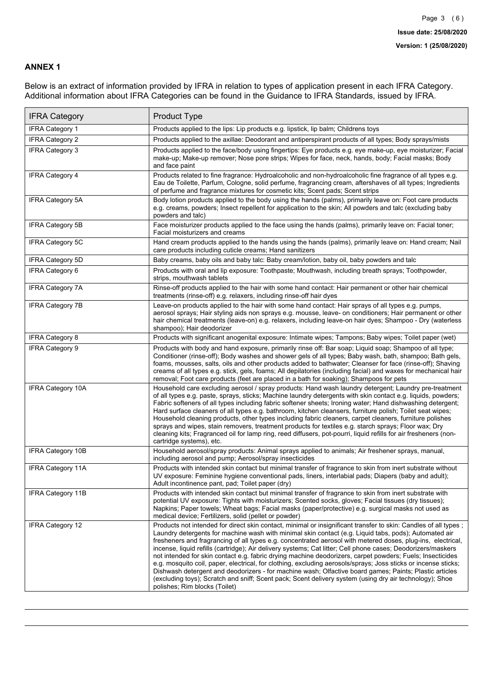### **ANNEX 1**

Below is an extract of information provided by IFRA in relation to types of application present in each IFRA Category. Additional information about IFRA Categories can be found in the Guidance to IFRA Standards, issued by IFRA.

| <b>IFRA Category</b>     | Product Type                                                                                                                                                                                                                                                                                                                                                                                                                                                                                                                                                                                                                                                                                                                                                                                                                                                                                                                                 |
|--------------------------|----------------------------------------------------------------------------------------------------------------------------------------------------------------------------------------------------------------------------------------------------------------------------------------------------------------------------------------------------------------------------------------------------------------------------------------------------------------------------------------------------------------------------------------------------------------------------------------------------------------------------------------------------------------------------------------------------------------------------------------------------------------------------------------------------------------------------------------------------------------------------------------------------------------------------------------------|
| <b>IFRA Category 1</b>   | Products applied to the lips: Lip products e.g. lipstick, lip balm; Childrens toys                                                                                                                                                                                                                                                                                                                                                                                                                                                                                                                                                                                                                                                                                                                                                                                                                                                           |
| <b>IFRA Category 2</b>   | Products applied to the axillae: Deodorant and antiperspirant products of all types; Body sprays/mists                                                                                                                                                                                                                                                                                                                                                                                                                                                                                                                                                                                                                                                                                                                                                                                                                                       |
| <b>IFRA Category 3</b>   | Products applied to the face/body using fingertips: Eye products e.g. eye make-up, eye moisturizer; Facial<br>make-up; Make-up remover; Nose pore strips; Wipes for face, neck, hands, body; Facial masks; Body<br>and face paint                                                                                                                                                                                                                                                                                                                                                                                                                                                                                                                                                                                                                                                                                                            |
| <b>IFRA Category 4</b>   | Products related to fine fragrance: Hydroalcoholic and non-hydroalcoholic fine fragrance of all types e.g.<br>Eau de Toilette, Parfum, Cologne, solid perfume, fragrancing cream, aftershaves of all types; Ingredients<br>of perfume and fragrance mixtures for cosmetic kits; Scent pads; Scent strips                                                                                                                                                                                                                                                                                                                                                                                                                                                                                                                                                                                                                                     |
| <b>IFRA Category 5A</b>  | Body lotion products applied to the body using the hands (palms), primarily leave on: Foot care products<br>e.g. creams, powders; Insect repellent for application to the skin; All powders and talc (excluding baby<br>powders and talc)                                                                                                                                                                                                                                                                                                                                                                                                                                                                                                                                                                                                                                                                                                    |
| IFRA Category 5B         | Face moisturizer products applied to the face using the hands (palms), primarily leave on: Facial toner;<br>Facial moisturizers and creams                                                                                                                                                                                                                                                                                                                                                                                                                                                                                                                                                                                                                                                                                                                                                                                                   |
| <b>IFRA Category 5C</b>  | Hand cream products applied to the hands using the hands (palms), primarily leave on: Hand cream; Nail<br>care products including cuticle creams; Hand sanitizers                                                                                                                                                                                                                                                                                                                                                                                                                                                                                                                                                                                                                                                                                                                                                                            |
| <b>IFRA Category 5D</b>  | Baby creams, baby oils and baby talc: Baby cream/lotion, baby oil, baby powders and talc                                                                                                                                                                                                                                                                                                                                                                                                                                                                                                                                                                                                                                                                                                                                                                                                                                                     |
| IFRA Category 6          | Products with oral and lip exposure: Toothpaste; Mouthwash, including breath sprays; Toothpowder,<br>strips, mouthwash tablets                                                                                                                                                                                                                                                                                                                                                                                                                                                                                                                                                                                                                                                                                                                                                                                                               |
| <b>IFRA Category 7A</b>  | Rinse-off products applied to the hair with some hand contact: Hair permanent or other hair chemical<br>treatments (rinse-off) e.g. relaxers, including rinse-off hair dyes                                                                                                                                                                                                                                                                                                                                                                                                                                                                                                                                                                                                                                                                                                                                                                  |
| <b>IFRA Category 7B</b>  | Leave-on products applied to the hair with some hand contact: Hair sprays of all types e.g. pumps,<br>aerosol sprays; Hair styling aids non sprays e.g. mousse, leave- on conditioners; Hair permanent or other<br>hair chemical treatments (leave-on) e.g. relaxers, including leave-on hair dyes; Shampoo - Dry (waterless<br>shampoo); Hair deodorizer                                                                                                                                                                                                                                                                                                                                                                                                                                                                                                                                                                                    |
| <b>IFRA Category 8</b>   | Products with significant anogenital exposure: Intimate wipes; Tampons; Baby wipes; Toilet paper (wet)                                                                                                                                                                                                                                                                                                                                                                                                                                                                                                                                                                                                                                                                                                                                                                                                                                       |
| IFRA Category 9          | Products with body and hand exposure, primarily rinse off: Bar soap; Liquid soap; Shampoo of all type;<br>Conditioner (rinse-off); Body washes and shower gels of all types; Baby wash, bath, shampoo; Bath gels,<br>foams, mousses, salts, oils and other products added to bathwater; Cleanser for face (rinse-off); Shaving<br>creams of all types e.g. stick, gels, foams; All depilatories (including facial) and waxes for mechanical hair<br>removal; Foot care products (feet are placed in a bath for soaking); Shampoos for pets                                                                                                                                                                                                                                                                                                                                                                                                   |
| <b>IFRA Category 10A</b> | Household care excluding aerosol / spray products: Hand wash laundry detergent; Laundry pre-treatment<br>of all types e.g. paste, sprays, sticks; Machine laundry detergents with skin contact e.g. liquids, powders;<br>Fabric softeners of all types including fabric softener sheets; Ironing water; Hand dishwashing detergent;<br>Hard surface cleaners of all types e.g. bathroom, kitchen cleansers, furniture polish; Toilet seat wipes;<br>Household cleaning products, other types including fabric cleaners, carpet cleaners, furniture polishes<br>sprays and wipes, stain removers, treatment products for textiles e.g. starch sprays; Floor wax; Dry<br>cleaning kits; Fragranced oil for lamp ring, reed diffusers, pot-pourri, liquid refills for air fresheners (non-<br>cartridge systems), etc.                                                                                                                          |
| <b>IFRA Category 10B</b> | Household aerosol/spray products: Animal sprays applied to animals; Air freshener sprays, manual,<br>including aerosol and pump; Aerosol/spray insecticides                                                                                                                                                                                                                                                                                                                                                                                                                                                                                                                                                                                                                                                                                                                                                                                  |
| <b>IFRA Category 11A</b> | Products with intended skin contact but minimal transfer of fragrance to skin from inert substrate without<br>UV exposure: Feminine hygiene conventional pads, liners, interlabial pads; Diapers (baby and adult);<br>Adult incontinence pant, pad; Toilet paper (dry)                                                                                                                                                                                                                                                                                                                                                                                                                                                                                                                                                                                                                                                                       |
| <b>IFRA Category 11B</b> | Products with intended skin contact but minimal transfer of fragrance to skin from inert substrate with<br>potential UV exposure: Tights with moisturizers; Scented socks, gloves; Facial tissues (dry tissues);<br>Napkins; Paper towels; Wheat bags; Facial masks (paper/protective) e.g. surgical masks not used as<br>medical device; Fertilizers, solid (pellet or powder)                                                                                                                                                                                                                                                                                                                                                                                                                                                                                                                                                              |
| <b>IFRA Category 12</b>  | Products not intended for direct skin contact, minimal or insignificant transfer to skin: Candles of all types;<br>Laundry detergents for machine wash with minimal skin contact (e.g. Liquid tabs, pods); Automated air<br>fresheners and fragrancing of all types e.g. concentrated aerosol with metered doses, plug-ins, electrical,<br>incense, liquid refills (cartridge); Air delivery systems; Cat litter; Cell phone cases; Deodorizers/maskers<br>not intended for skin contact e.g. fabric drying machine deodorizers, carpet powders; Fuels; Insecticides<br>e.g. mosquito coil, paper, electrical, for clothing, excluding aerosols/sprays; Joss sticks or incense sticks;<br>Dishwash detergent and deodorizers - for machine wash; Olfactive board games; Paints; Plastic articles<br>(excluding toys); Scratch and sniff; Scent pack; Scent delivery system (using dry air technology); Shoe<br>polishes; Rim blocks (Toilet) |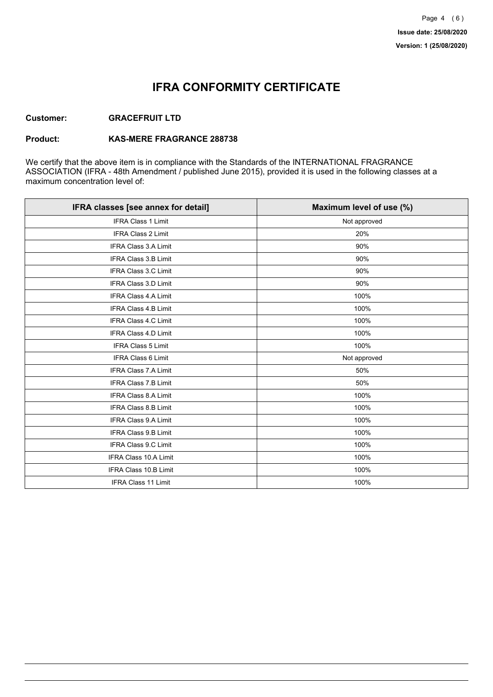## **IFRA CONFORMITY CERTIFICATE**

### **Customer: GRACEFRUIT LTD**

#### **Product: KAS-MERE FRAGRANCE 288738**

We certify that the above item is in compliance with the Standards of the INTERNATIONAL FRAGRANCE ASSOCIATION (IFRA - 48th Amendment / published June 2015), provided it is used in the following classes at a maximum concentration level of:

| IFRA classes [see annex for detail] | Maximum level of use (%) |
|-------------------------------------|--------------------------|
| <b>IFRA Class 1 Limit</b>           | Not approved             |
| <b>IFRA Class 2 Limit</b>           | 20%                      |
| <b>IFRA Class 3.A Limit</b>         | 90%                      |
| <b>IFRA Class 3.B Limit</b>         | 90%                      |
| <b>IFRA Class 3.C Limit</b>         | 90%                      |
| <b>IFRA Class 3.D Limit</b>         | 90%                      |
| <b>IFRA Class 4.A Limit</b>         | 100%                     |
| <b>IFRA Class 4.B Limit</b>         | 100%                     |
| <b>IFRA Class 4.C Limit</b>         | 100%                     |
| <b>IFRA Class 4.D Limit</b>         | 100%                     |
| <b>IFRA Class 5 Limit</b>           | 100%                     |
| <b>IFRA Class 6 Limit</b>           | Not approved             |
| <b>IFRA Class 7.A Limit</b>         | 50%                      |
| <b>IFRA Class 7.B Limit</b>         | 50%                      |
| <b>IFRA Class 8.A Limit</b>         | 100%                     |
| IFRA Class 8.B Limit                | 100%                     |
| <b>IFRA Class 9.A Limit</b>         | 100%                     |
| <b>IFRA Class 9.B Limit</b>         | 100%                     |
| <b>IFRA Class 9.C Limit</b>         | 100%                     |
| IFRA Class 10.A Limit               | 100%                     |
| IFRA Class 10.B Limit               | 100%                     |
| <b>IFRA Class 11 Limit</b>          | 100%                     |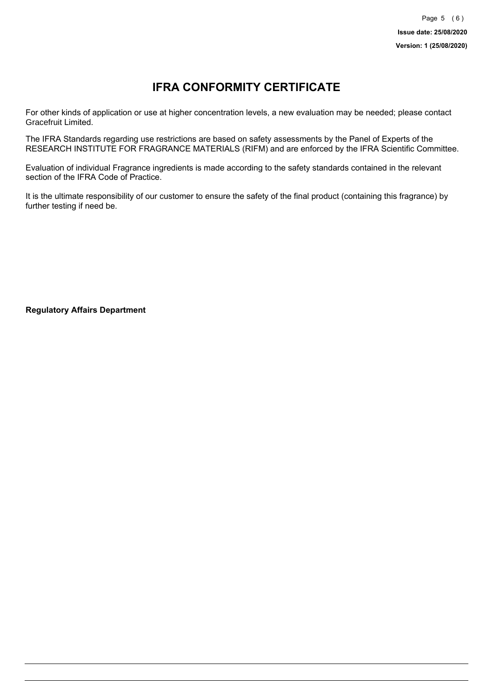# **IFRA CONFORMITY CERTIFICATE**

For other kinds of application or use at higher concentration levels, a new evaluation may be needed; please contact Gracefruit Limited.

The IFRA Standards regarding use restrictions are based on safety assessments by the Panel of Experts of the RESEARCH INSTITUTE FOR FRAGRANCE MATERIALS (RIFM) and are enforced by the IFRA Scientific Committee.

Evaluation of individual Fragrance ingredients is made according to the safety standards contained in the relevant section of the IFRA Code of Practice.

It is the ultimate responsibility of our customer to ensure the safety of the final product (containing this fragrance) by further testing if need be.

**Regulatory Affairs Department**